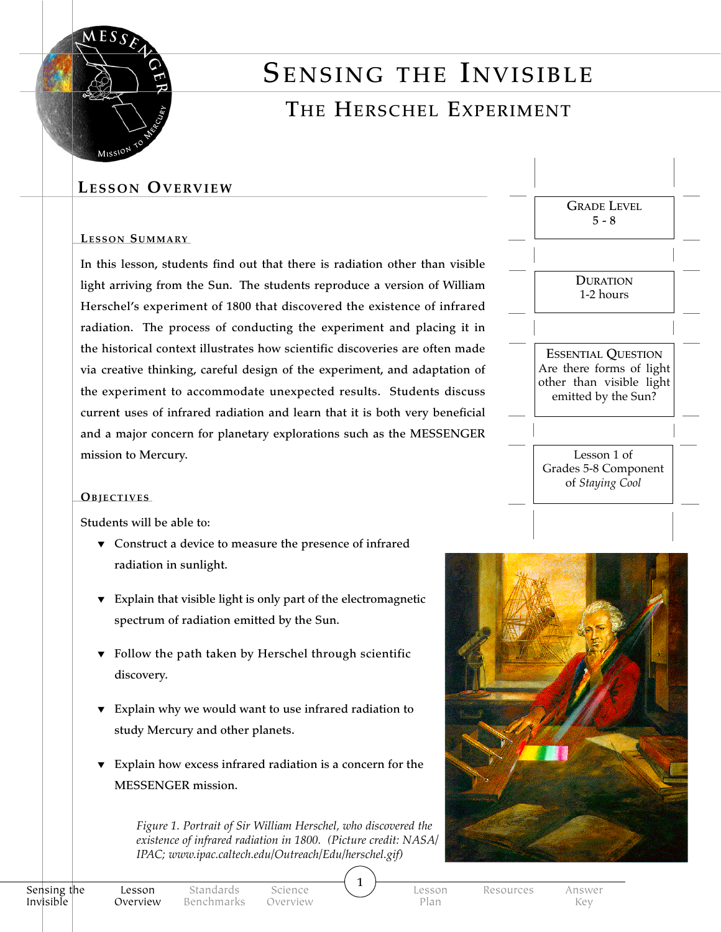

# SENSING THE INVISIBLE

## The Herschel Experiment

## **Lesson Overview**

#### LESSON SUMMARY

In this lesson, students find out that there is radiation other than visible light arriving from the Sun. The students reproduce a version of William Herschel's experiment of 1800 that discovered the existence of infrared radiation. The process of conducting the experiment and placing it in the historical context illustrates how scientific discoveries are often made via creative thinking, careful design of the experiment, and adaptation of the experiment to accommodate unexpected results. Students discuss current uses of infrared radiation and learn that it is both very beneficial and a major concern for planetary explorations such as the MESSENGER mission to Mercury.

#### **OBJECTIVES**

Students will be able to:

- ▼ Construct a device to measure the presence of infrared radiation in sunlight.
- ▼ Explain that visible light is only part of the electromagnetic spectrum of radiation emitted by the Sun.
- ▼ Follow the path taken by Herschel through scientific discovery.
- ▼ Explain why we would want to use infrared radiation to study Mercury and other planets.
- ▼ Explain how excess infrared radiation is a concern for the MESSENGER mission.

*Figure 1. Portrait of Sir William Herschel, who discovered the existence of infrared radiation in 1800. (Picture credit: NASA/ IPAC; www.ipac.caltech.edu/Outreach/Edu/herschel.gif)* 





Science Overview Lesson Plan

 $\mathbf{1}$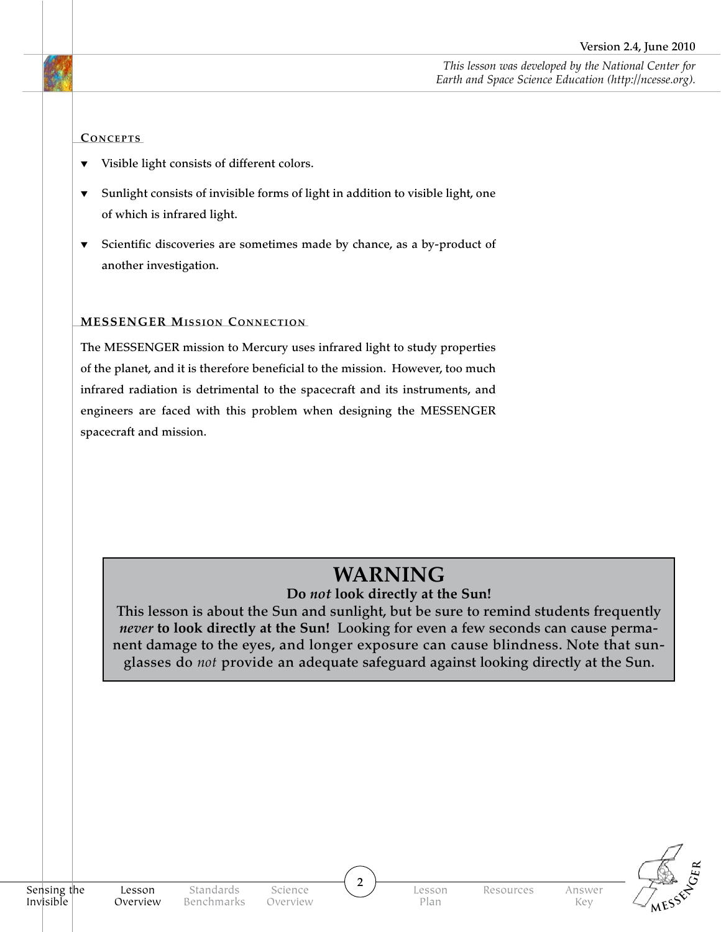*This lesson was developed by the National Center for Earth and Space Science Education (http://ncesse.org).*

#### CONCEPTS

- ▼ Visible light consists of different colors.
- ▼ Sunlight consists of invisible forms of light in addition to visible light, one of which is infrared light.
- ▼ Scientific discoveries are sometimes made by chance, as a by-product of another investigation.

#### **MESSENGER MISSION CONNECTION**

The MESSENGER mission to Mercury uses infrared light to study properties of the planet, and it is therefore beneficial to the mission. However, too much infrared radiation is detrimental to the spacecraft and its instruments, and engineers are faced with this problem when designing the MESSENGER spacecraft and mission.

## **WARNING**

#### **Do** *not* **look directly at the Sun!**

This lesson is about the Sun and sunlight, but be sure to remind students frequently *never* **to look directly at the Sun!** Looking for even a few seconds can cause permanent damage to the eyes, and longer exposure can cause blindness. Note that sunglasses do *not* provide an adequate safeguard against looking directly at the Sun.



 $\overline{2}$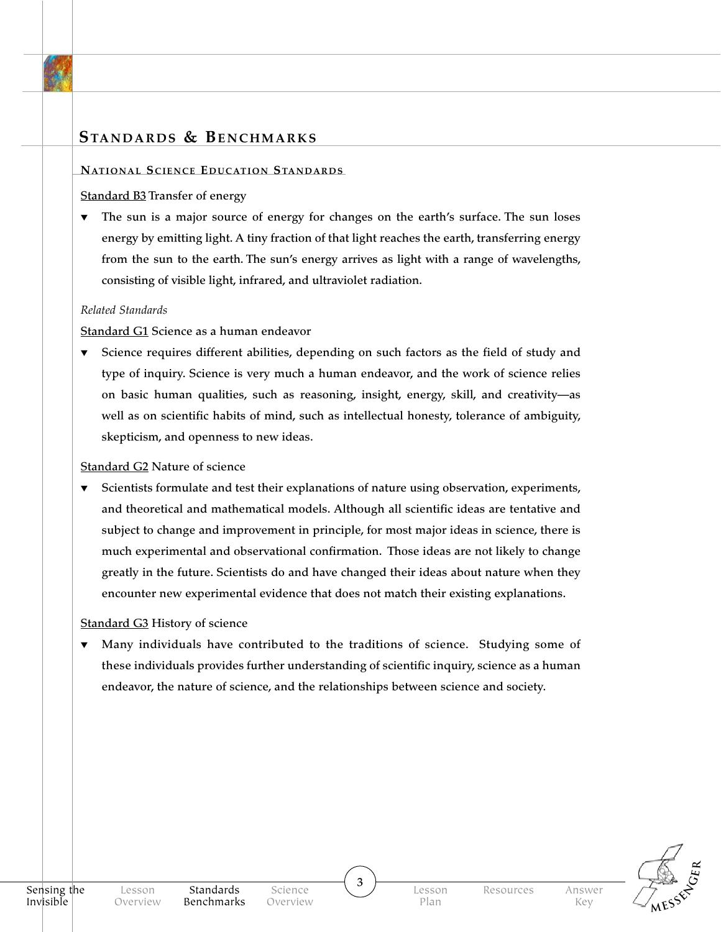## **Standards & Benchmarks**

#### **NATIONAL SCIENCE EDUCATION STANDARDS**

#### Standard B3 Transfer of energy

▼ The sun is a major source of energy for changes on the earth's surface. The sun loses energy by emitting light. A tiny fraction of that light reaches the earth, transferring energy from the sun to the earth. The sun's energy arrives as light with a range of wavelengths, consisting of visible light, infrared, and ultraviolet radiation.

#### *Related Standards*

Standard G1 Science as a human endeavor

▼ Science requires different abilities, depending on such factors as the field of study and type of inquiry. Science is very much a human endeavor, and the work of science relies on basic human qualities, such as reasoning, insight, energy, skill, and creativity—as well as on scientific habits of mind, such as intellectual honesty, tolerance of ambiguity, skepticism, and openness to new ideas.

#### Standard G2 Nature of science

Scientists formulate and test their explanations of nature using observation, experiments, and theoretical and mathematical models. Although all scientific ideas are tentative and subject to change and improvement in principle, for most major ideas in science, there is much experimental and observational confirmation. Those ideas are not likely to change greatly in the future. Scientists do and have changed their ideas about nature when they encounter new experimental evidence that does not match their existing explanations.

#### Standard G3 History of science

Many individuals have contributed to the traditions of science. Studying some of these individuals provides further understanding of scientific inquiry, science as a human endeavor, the nature of science, and the relationships between science and society.

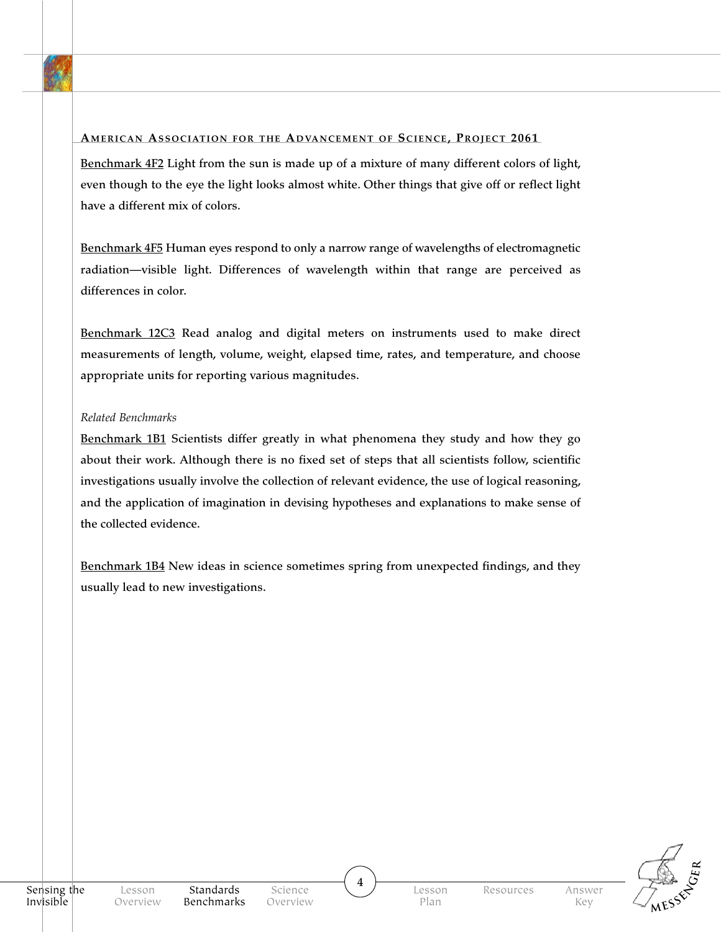#### AMERICAN ASSOCIATION FOR THE ADVANCEMENT OF SCIENCE, PROJECT 2061

Benchmark 4F2 Light from the sun is made up of a mixture of many different colors of light, even though to the eye the light looks almost white. Other things that give off or reflect light have a different mix of colors.

Benchmark 4F5 Human eyes respond to only a narrow range of wavelengths of electromagnetic radiation—visible light. Differences of wavelength within that range are perceived as differences in color.

Benchmark 12C3 Read analog and digital meters on instruments used to make direct measurements of length, volume, weight, elapsed time, rates, and temperature, and choose appropriate units for reporting various magnitudes.

#### *Related Benchmarks*

Benchmark 1B1 Scientists differ greatly in what phenomena they study and how they go about their work. Although there is no fixed set of steps that all scientists follow, scientific investigations usually involve the collection of relevant evidence, the use of logical reasoning, and the application of imagination in devising hypotheses and explanations to make sense of the collected evidence.

Benchmark 1B4 New ideas in science sometimes spring from unexpected findings, and they usually lead to new investigations.



 $\overline{4}$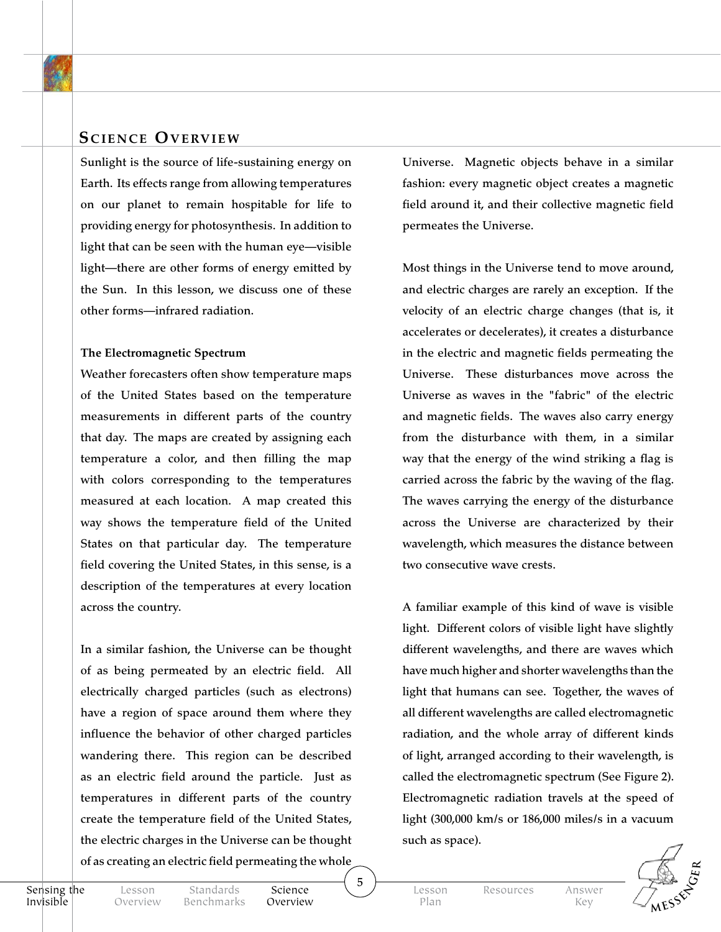

Sunlight is the source of life-sustaining energy on Earth. Its effects range from allowing temperatures on our planet to remain hospitable for life to providing energy for photosynthesis. In addition to light that can be seen with the human eye—visible light—there are other forms of energy emitted by the Sun. In this lesson, we discuss one of these other forms—infrared radiation.

#### **The Electromagnetic Spectrum**

Weather forecasters often show temperature maps of the United States based on the temperature measurements in different parts of the country that day. The maps are created by assigning each temperature a color, and then filling the map with colors corresponding to the temperatures measured at each location. A map created this way shows the temperature field of the United States on that particular day. The temperature field covering the United States, in this sense, is a description of the temperatures at every location across the country.

In a similar fashion, the Universe can be thought of as being permeated by an electric field. All electrically charged particles (such as electrons) have a region of space around them where they influence the behavior of other charged particles wandering there. This region can be described as an electric field around the particle. Just as temperatures in different parts of the country create the temperature field of the United States, the electric charges in the Universe can be thought of as creating an electric field permeating the whole

Universe. Magnetic objects behave in a similar fashion: every magnetic object creates a magnetic field around it, and their collective magnetic field permeates the Universe.

Most things in the Universe tend to move around, and electric charges are rarely an exception. If the velocity of an electric charge changes (that is, it accelerates or decelerates), it creates a disturbance in the electric and magnetic fields permeating the Universe. These disturbances move across the Universe as waves in the "fabric" of the electric and magnetic fields. The waves also carry energy from the disturbance with them, in a similar way that the energy of the wind striking a flag is carried across the fabric by the waving of the flag. The waves carrying the energy of the disturbance across the Universe are characterized by their wavelength, which measures the distance between two consecutive wave crests.

A familiar example of this kind of wave is visible light. Different colors of visible light have slightly different wavelengths, and there are waves which have much higher and shorter wavelengths than the light that humans can see. Together, the waves of all different wavelengths are called electromagnetic radiation, and the whole array of different kinds of light, arranged according to their wavelength, is called the electromagnetic spectrum (See Figure 2). Electromagnetic radiation travels at the speed of light (300,000 km/s or 186,000 miles/s in a vacuum such as space).

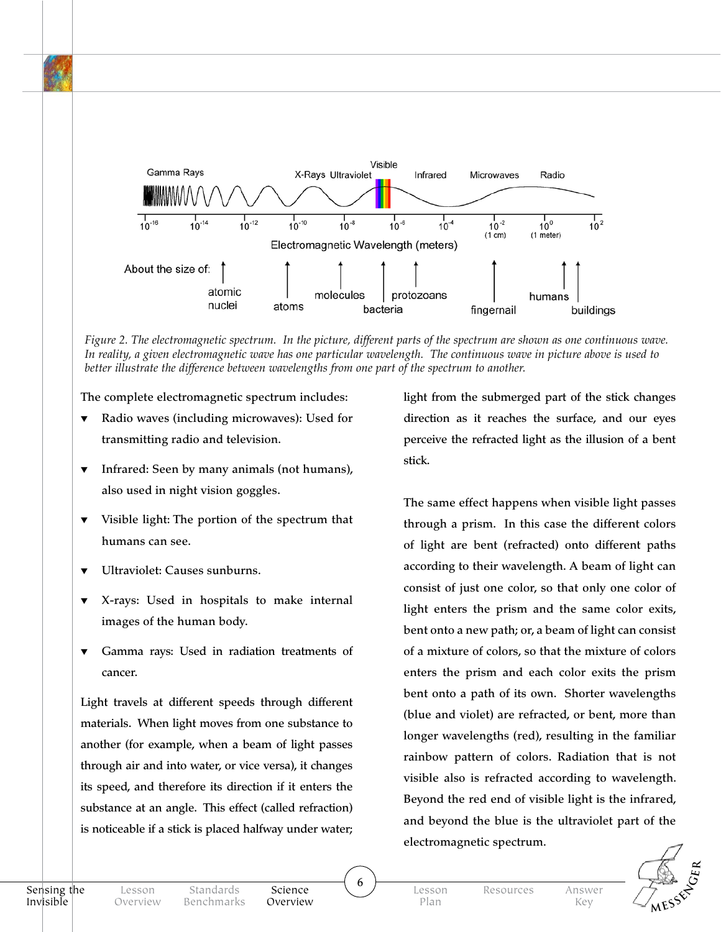

*Figure 2. The electromagnetic spectrum. In the picture, different parts of the spectrum are shown as one continuous wave. In reality, a given electromagnetic wave has one particular wavelength. The continuous wave in picture above is used to better illustrate the difference between wavelengths from one part of the spectrum to another.* 

The complete electromagnetic spectrum includes:

- ▼ Radio waves (including microwaves): Used for transmitting radio and television.
- ▼ Infrared: Seen by many animals (not humans), also used in night vision goggles.
- ▼ Visible light: The portion of the spectrum that humans can see.
- Ultraviolet: Causes sunburns.
- ▼ X-rays: Used in hospitals to make internal images of the human body.
- ▼ Gamma rays: Used in radiation treatments of cancer.

Light travels at different speeds through different materials. When light moves from one substance to another (for example, when a beam of light passes through air and into water, or vice versa), it changes its speed, and therefore its direction if it enters the substance at an angle. This effect (called refraction) is noticeable if a stick is placed halfway under water;

light from the submerged part of the stick changes direction as it reaches the surface, and our eyes perceive the refracted light as the illusion of a bent stick.

The same effect happens when visible light passes through a prism. In this case the different colors of light are bent (refracted) onto different paths according to their wavelength. A beam of light can consist of just one color, so that only one color of light enters the prism and the same color exits, bent onto a new path; or, a beam of light can consist of a mixture of colors, so that the mixture of colors enters the prism and each color exits the prism bent onto a path of its own. Shorter wavelengths (blue and violet) are refracted, or bent, more than longer wavelengths (red), resulting in the familiar rainbow pattern of colors. Radiation that is not visible also is refracted according to wavelength. Beyond the red end of visible light is the infrared, and beyond the blue is the ultraviolet part of the electromagnetic spectrum.



Science Overview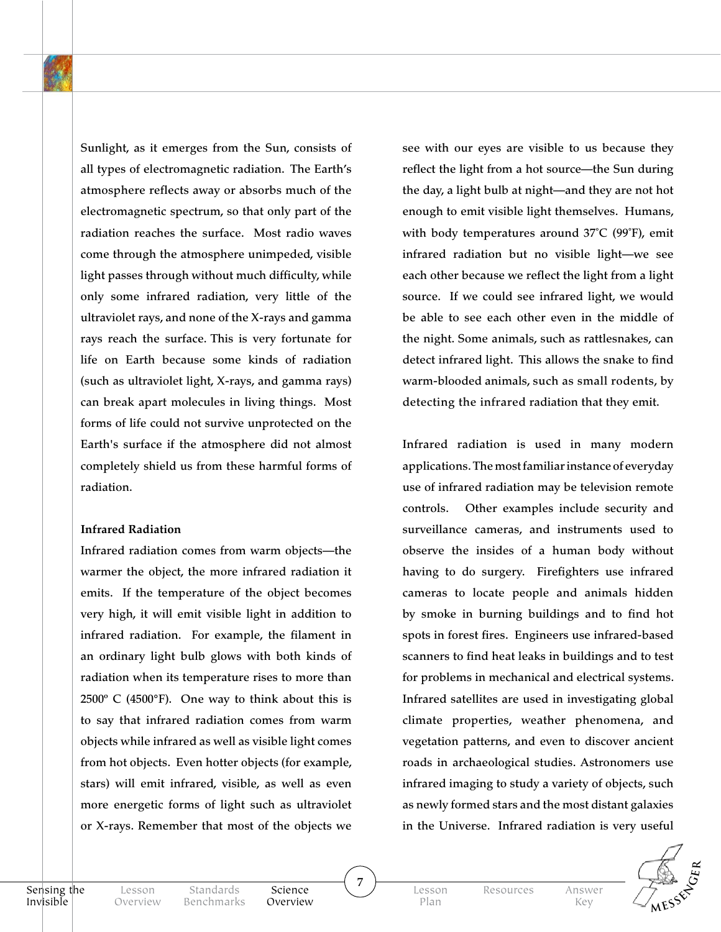Sunlight, as it emerges from the Sun, consists of all types of electromagnetic radiation. The Earth's atmosphere reflects away or absorbs much of the electromagnetic spectrum, so that only part of the radiation reaches the surface. Most radio waves come through the atmosphere unimpeded, visible light passes through without much difficulty, while only some infrared radiation, very little of the ultraviolet rays, and none of the X-rays and gamma rays reach the surface. This is very fortunate for life on Earth because some kinds of radiation (such as ultraviolet light, X-rays, and gamma rays) can break apart molecules in living things. Most forms of life could not survive unprotected on the Earth's surface if the atmosphere did not almost completely shield us from these harmful forms of radiation.

#### **Infrared Radiation**

Infrared radiation comes from warm objects—the warmer the object, the more infrared radiation it emits. If the temperature of the object becomes very high, it will emit visible light in addition to infrared radiation. For example, the filament in an ordinary light bulb glows with both kinds of radiation when its temperature rises to more than  $2500^{\circ}$  C (4500 $^{\circ}$ F). One way to think about this is to say that infrared radiation comes from warm objects while infrared as well as visible light comes from hot objects. Even hotter objects (for example, stars) will emit infrared, visible, as well as even more energetic forms of light such as ultraviolet or X-rays. Remember that most of the objects we

see with our eyes are visible to us because they reflect the light from a hot source—the Sun during the day, a light bulb at night—and they are not hot enough to emit visible light themselves. Humans, with body temperatures around 37˚C (99˚F), emit infrared radiation but no visible light—we see each other because we reflect the light from a light source. If we could see infrared light, we would be able to see each other even in the middle of the night. Some animals, such as rattlesnakes, can detect infrared light. This allows the snake to find warm-blooded animals, such as small rodents, by detecting the infrared radiation that they emit.

Infrared radiation is used in many modern applications. The most familiar instance of everyday use of infrared radiation may be television remote controls. Other examples include security and surveillance cameras, and instruments used to observe the insides of a human body without having to do surgery. Firefighters use infrared cameras to locate people and animals hidden by smoke in burning buildings and to find hot spots in forest fires. Engineers use infrared-based scanners to find heat leaks in buildings and to test for problems in mechanical and electrical systems. Infrared satellites are used in investigating global climate properties, weather phenomena, and vegetation patterns, and even to discover ancient roads in archaeological studies. Astronomers use infrared imaging to study a variety of objects, such as newly formed stars and the most distant galaxies in the Universe. Infrared radiation is very useful



Sensing the Invisible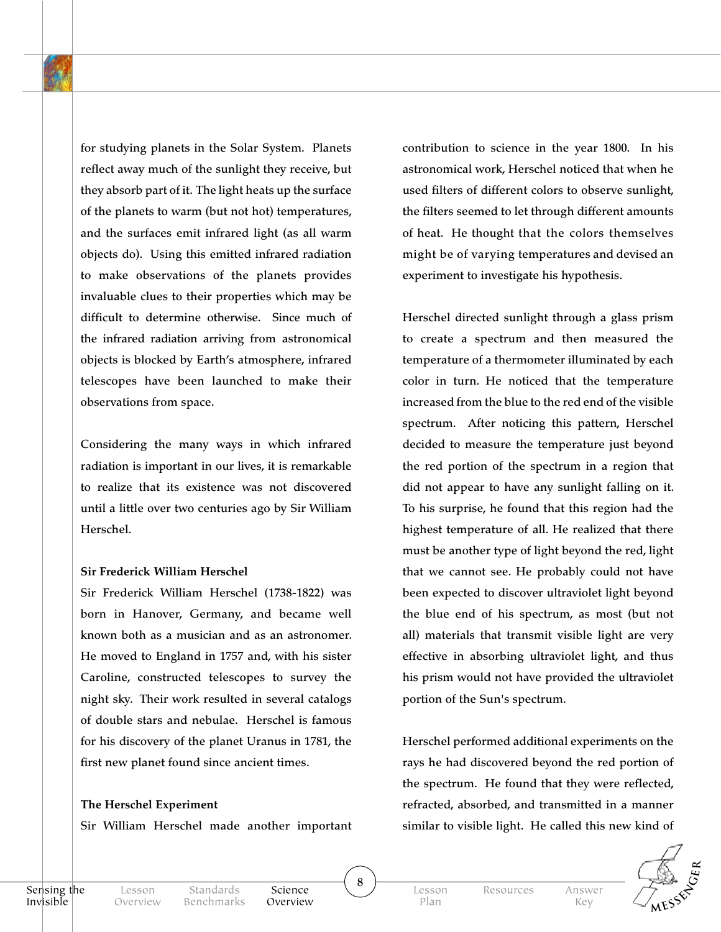for studying planets in the Solar System. Planets reflect away much of the sunlight they receive, but they absorb part of it. The light heats up the surface of the planets to warm (but not hot) temperatures, and the surfaces emit infrared light (as all warm objects do). Using this emitted infrared radiation to make observations of the planets provides invaluable clues to their properties which may be difficult to determine otherwise. Since much of the infrared radiation arriving from astronomical objects is blocked by Earth's atmosphere, infrared telescopes have been launched to make their observations from space.

Considering the many ways in which infrared radiation is important in our lives, it is remarkable to realize that its existence was not discovered until a little over two centuries ago by Sir William Herschel.

#### **Sir Frederick William Herschel**

Sir Frederick William Herschel (1738-1822) was born in Hanover, Germany, and became well known both as a musician and as an astronomer. He moved to England in 1757 and, with his sister Caroline, constructed telescopes to survey the night sky. Their work resulted in several catalogs of double stars and nebulae. Herschel is famous for his discovery of the planet Uranus in 1781, the first new planet found since ancient times.

#### **The Herschel Experiment**

Sir William Herschel made another important

contribution to science in the year 1800. In his astronomical work, Herschel noticed that when he used filters of different colors to observe sunlight, the filters seemed to let through different amounts of heat. He thought that the colors themselves might be of varying temperatures and devised an experiment to investigate his hypothesis.

Herschel directed sunlight through a glass prism to create a spectrum and then measured the temperature of a thermometer illuminated by each color in turn. He noticed that the temperature increased from the blue to the red end of the visible spectrum. After noticing this pattern, Herschel decided to measure the temperature just beyond the red portion of the spectrum in a region that did not appear to have any sunlight falling on it. To his surprise, he found that this region had the highest temperature of all. He realized that there must be another type of light beyond the red, light that we cannot see. He probably could not have been expected to discover ultraviolet light beyond the blue end of his spectrum, as most (but not all) materials that transmit visible light are very effective in absorbing ultraviolet light, and thus his prism would not have provided the ultraviolet portion of the Sun's spectrum.

Herschel performed additional experiments on the rays he had discovered beyond the red portion of the spectrum. He found that they were reflected, refracted, absorbed, and transmitted in a manner similar to visible light. He called this new kind of



Sensing the Invisible

Science Overview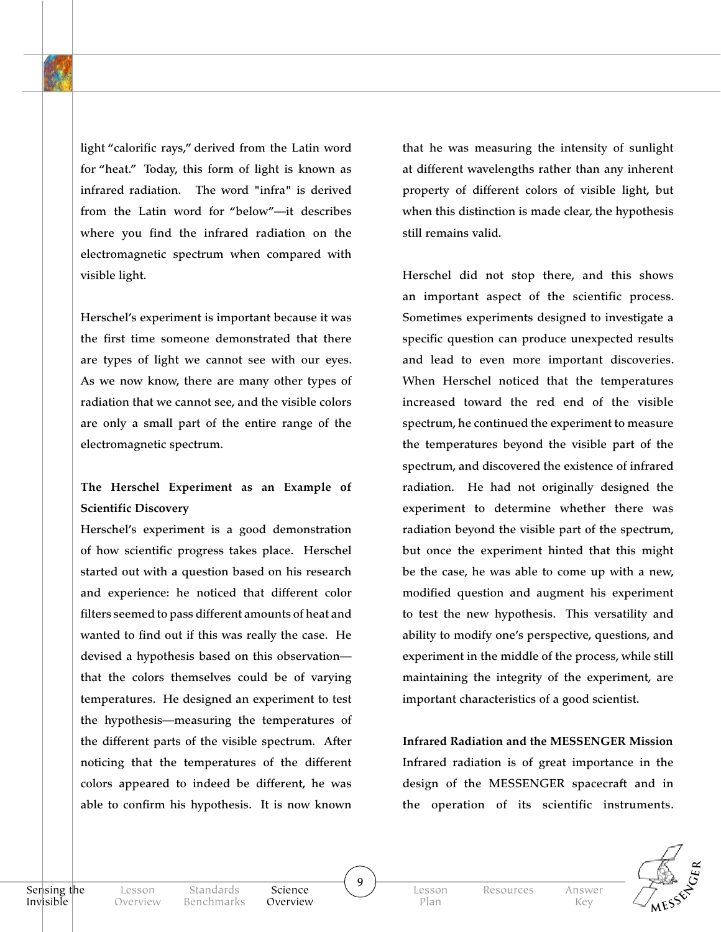light "calorific rays," derived from the Latin word for "heat." Today, this form of light is known as infrared radiation. The word "infra" is derived from the Latin word for "below"—it describes where you find the infrared radiation on the electromagnetic spectrum when compared with visible light.

Herschel's experiment is important because it was the first time someone demonstrated that there are types of light we cannot see with our eyes. As we now know, there are many other types of radiation that we cannot see, and the visible colors are only a small part of the entire range of the electromagnetic spectrum.

## **The Herschel Experiment as an Example of Scientific Discovery**

Herschel's experiment is a good demonstration of how scientific progress takes place. Herschel started out with a question based on his research and experience: he noticed that different color filters seemed to pass different amounts of heat and wanted to find out if this was really the case. He devised a hypothesis based on this observation that the colors themselves could be of varying temperatures. He designed an experiment to test the hypothesis—measuring the temperatures of the different parts of the visible spectrum. After noticing that the temperatures of the different colors appeared to indeed be different, he was able to confirm his hypothesis. It is now known that he was measuring the intensity of sunlight at different wavelengths rather than any inherent property of different colors of visible light, but when this distinction is made clear, the hypothesis still remains valid.

Herschel did not stop there, and this shows an important aspect of the scientific process. Sometimes experiments designed to investigate a specific question can produce unexpected results and lead to even more important discoveries. When Herschel noticed that the temperatures increased toward the red end of the visible spectrum, he continued the experiment to measure the temperatures beyond the visible part of the spectrum, and discovered the existence of infrared radiation. He had not originally designed the experiment to determine whether there was radiation beyond the visible part of the spectrum, but once the experiment hinted that this might be the case, he was able to come up with a new, modified question and augment his experiment to test the new hypothesis. This versatility and ability to modify one's perspective, questions, and experiment in the middle of the process, while still maintaining the integrity of the experiment, are important characteristics of a good scientist.

**Infrared Radiation and the MESSENGER Mission** Infrared radiation is of great importance in the design of the MESSENGER spacecraft and in the operation of its scientific instruments.



Science Overview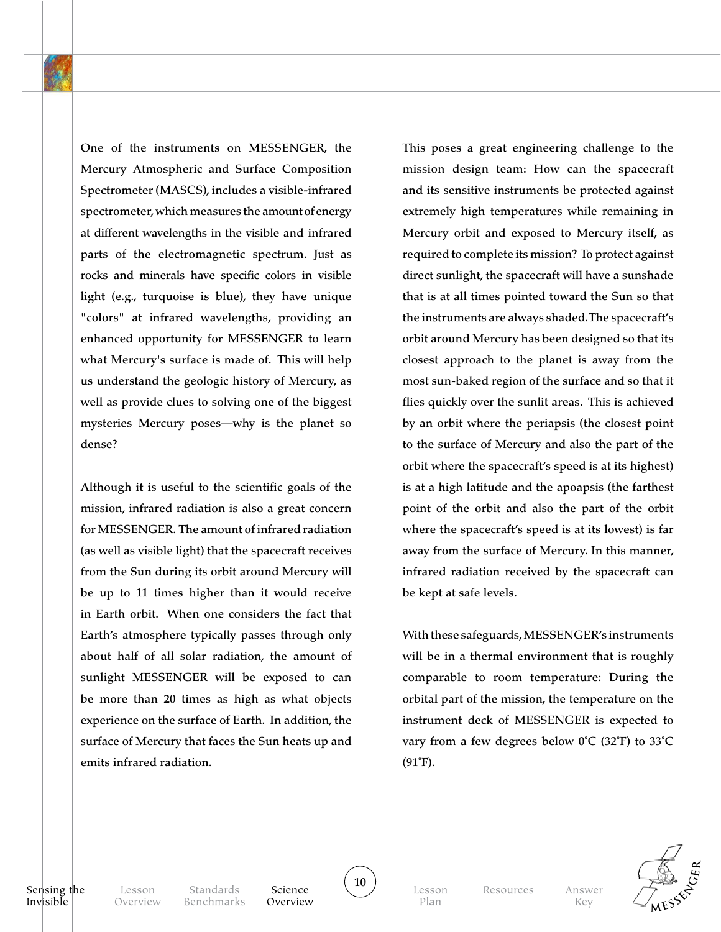One of the instruments on MESSENGER, the Mercury Atmospheric and Surface Composition Spectrometer (MASCS), includes a visible-infrared spectrometer, which measures the amount of energy at different wavelengths in the visible and infrared parts of the electromagnetic spectrum. Just as rocks and minerals have specific colors in visible light (e.g., turquoise is blue), they have unique "colors" at infrared wavelengths, providing an enhanced opportunity for MESSENGER to learn what Mercury's surface is made of. This will help us understand the geologic history of Mercury, as well as provide clues to solving one of the biggest mysteries Mercury poses—why is the planet so dense?

Although it is useful to the scientific goals of the mission, infrared radiation is also a great concern for MESSENGER. The amount of infrared radiation (as well as visible light) that the spacecraft receives from the Sun during its orbit around Mercury will be up to 11 times higher than it would receive in Earth orbit. When one considers the fact that Earth's atmosphere typically passes through only about half of all solar radiation, the amount of sunlight MESSENGER will be exposed to can be more than 20 times as high as what objects experience on the surface of Earth. In addition, the surface of Mercury that faces the Sun heats up and emits infrared radiation.

Standards

This poses a great engineering challenge to the mission design team: How can the spacecraft and its sensitive instruments be protected against extremely high temperatures while remaining in Mercury orbit and exposed to Mercury itself, as required to complete its mission? To protect against direct sunlight, the spacecraft will have a sunshade that is at all times pointed toward the Sun so that the instruments are always shaded. The spacecraft's orbit around Mercury has been designed so that its closest approach to the planet is away from the most sun-baked region of the surface and so that it flies quickly over the sunlit areas. This is achieved by an orbit where the periapsis (the closest point to the surface of Mercury and also the part of the orbit where the spacecraft's speed is at its highest) is at a high latitude and the apoapsis (the farthest point of the orbit and also the part of the orbit where the spacecraft's speed is at its lowest) is far away from the surface of Mercury. In this manner, infrared radiation received by the spacecraft can be kept at safe levels.

With these safeguards, MESSENGER's instruments will be in a thermal environment that is roughly comparable to room temperature: During the orbital part of the mission, the temperature on the instrument deck of MESSENGER is expected to vary from a few degrees below 0˚C (32˚F) to 33˚C (91˚F).



Sensing the Invisible

Science Overview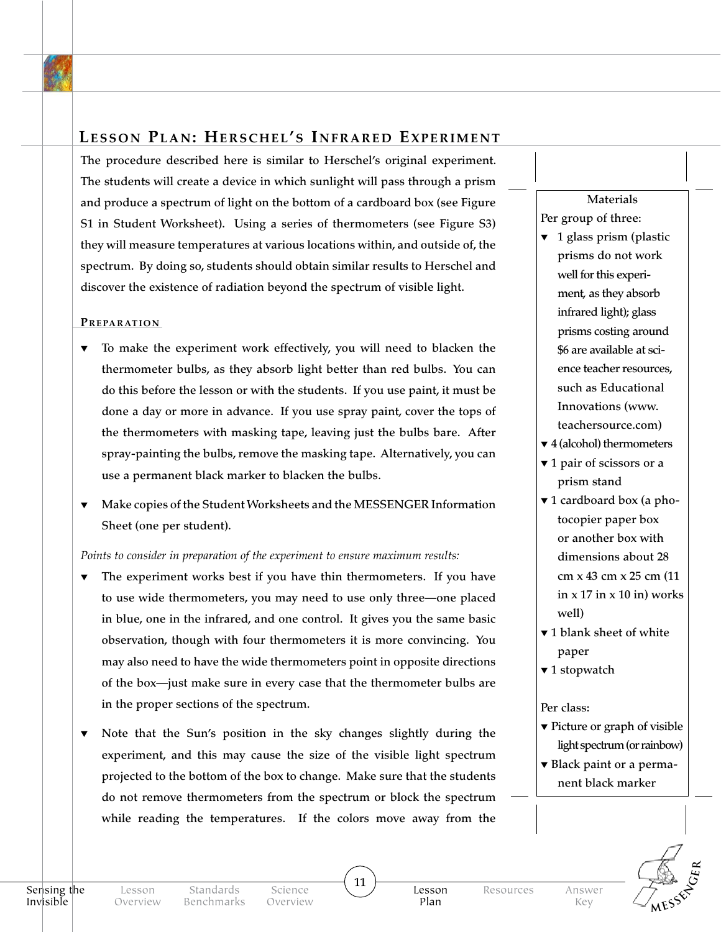## **Lesson Plan: Herschel's Infrared Experiment**

The procedure described here is similar to Herschel's original experiment. The students will create a device in which sunlight will pass through a prism and produce a spectrum of light on the bottom of a cardboard box (see Figure S1 in Student Worksheet). Using a series of thermometers (see Figure S3) they will measure temperatures at various locations within, and outside of, the spectrum. By doing so, students should obtain similar results to Herschel and discover the existence of radiation beyond the spectrum of visible light.

#### PREPARATION

- To make the experiment work effectively, you will need to blacken the thermometer bulbs, as they absorb light better than red bulbs. You can do this before the lesson or with the students. If you use paint, it must be done a day or more in advance. If you use spray paint, cover the tops of the thermometers with masking tape, leaving just the bulbs bare. After spray-painting the bulbs, remove the masking tape. Alternatively, you can use a permanent black marker to blacken the bulbs.
- ▼ Make copies of the Student Worksheets and the MESSENGER Information Sheet (one per student).

#### *Points to consider in preparation of the experiment to ensure maximum results:*

- The experiment works best if you have thin thermometers. If you have to use wide thermometers, you may need to use only three—one placed in blue, one in the infrared, and one control. It gives you the same basic observation, though with four thermometers it is more convincing. You may also need to have the wide thermometers point in opposite directions of the box—just make sure in every case that the thermometer bulbs are in the proper sections of the spectrum.
- Note that the Sun's position in the sky changes slightly during the experiment, and this may cause the size of the visible light spectrum projected to the bottom of the box to change. Make sure that the students do not remove thermometers from the spectrum or block the spectrum while reading the temperatures. If the colors move away from the

### Materials Per group of three:

- $\blacktriangledown$  1 glass prism (plastic prisms do not work well for this experiment, as they absorb infrared light); glass prisms costing around \$6 are available at science teacher resources, such as Educational Innovations (www. teachersource.com)
- ▼ 4 (alcohol) thermometers
- ▼ 1 pair of scissors or a prism stand
- ▼ 1 cardboard box (a photocopier paper box or another box with dimensions about 28 cm x 43 cm x 25 cm (11 in  $x$  17 in  $x$  10 in) works well)
- ▼ 1 blank sheet of white paper
- ▼ 1 stopwatch

#### Per class:

- ▼ Picture or graph of visible light spectrum (or rainbow)
- ▼ Black paint or a permanent black marker



Science Overview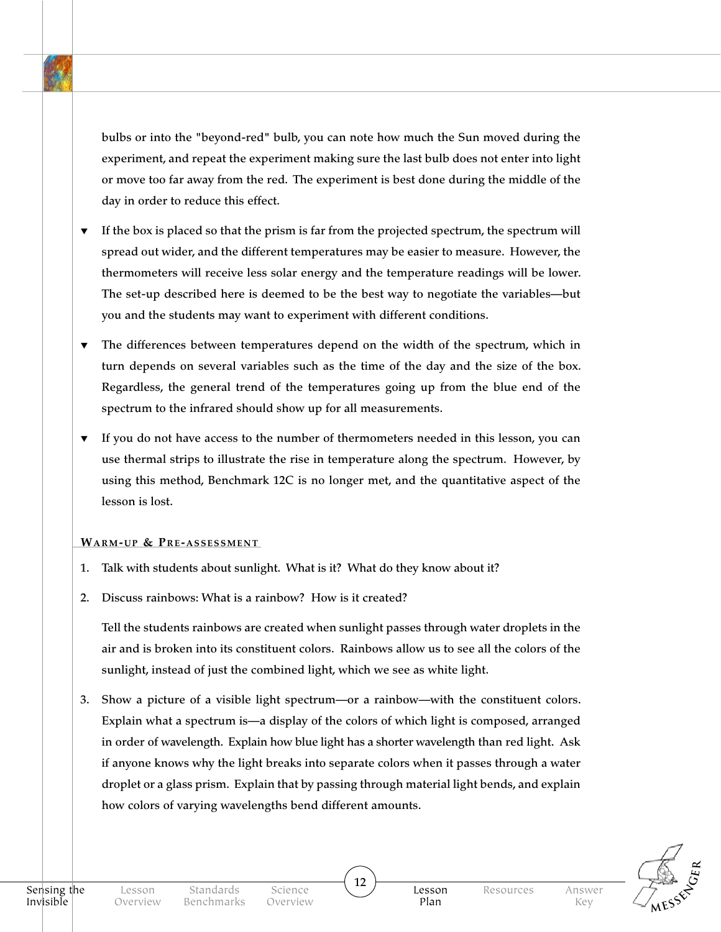bulbs or into the "beyond-red" bulb, you can note how much the Sun moved during the experiment, and repeat the experiment making sure the last bulb does not enter into light or move too far away from the red. The experiment is best done during the middle of the day in order to reduce this effect.

- ▼ If the box is placed so that the prism is far from the projected spectrum, the spectrum will spread out wider, and the different temperatures may be easier to measure. However, the thermometers will receive less solar energy and the temperature readings will be lower. The set-up described here is deemed to be the best way to negotiate the variables—but you and the students may want to experiment with different conditions.
- ▼ The differences between temperatures depend on the width of the spectrum, which in turn depends on several variables such as the time of the day and the size of the box. Regardless, the general trend of the temperatures going up from the blue end of the spectrum to the infrared should show up for all measurements.
- ▼ If you do not have access to the number of thermometers needed in this lesson, you can use thermal strips to illustrate the rise in temperature along the spectrum. However, by using this method, Benchmark 12C is no longer met, and the quantitative aspect of the lesson is lost.

#### **WARM-UP & PRE-ASSESSMENT**

- 1. Talk with students about sunlight. What is it? What do they know about it?
- 2. Discuss rainbows: What is a rainbow? How is it created?

Tell the students rainbows are created when sunlight passes through water droplets in the air and is broken into its constituent colors. Rainbows allow us to see all the colors of the sunlight, instead of just the combined light, which we see as white light.

3. Show a picture of a visible light spectrum—or a rainbow—with the constituent colors. Explain what a spectrum is—a display of the colors of which light is composed, arranged in order of wavelength. Explain how blue light has a shorter wavelength than red light. Ask if anyone knows why the light breaks into separate colors when it passes through a water droplet or a glass prism. Explain that by passing through material light bends, and explain how colors of varying wavelengths bend different amounts.

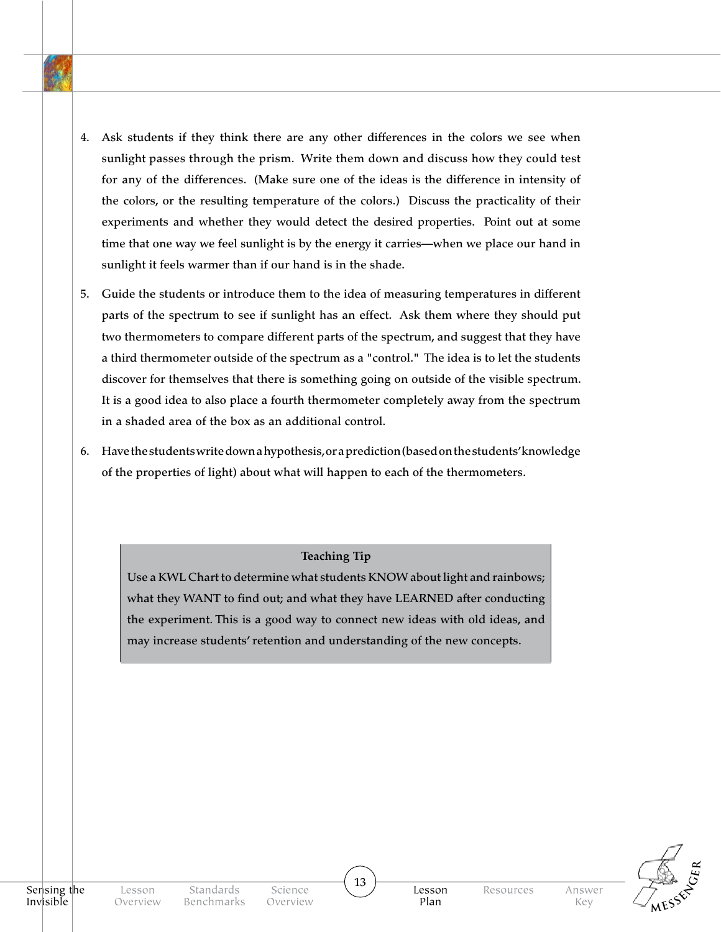- 4. Ask students if they think there are any other differences in the colors we see when sunlight passes through the prism. Write them down and discuss how they could test for any of the differences. (Make sure one of the ideas is the difference in intensity of the colors, or the resulting temperature of the colors.) Discuss the practicality of their experiments and whether they would detect the desired properties. Point out at some time that one way we feel sunlight is by the energy it carries—when we place our hand in sunlight it feels warmer than if our hand is in the shade.
- 5. Guide the students or introduce them to the idea of measuring temperatures in different parts of the spectrum to see if sunlight has an effect. Ask them where they should put two thermometers to compare different parts of the spectrum, and suggest that they have a third thermometer outside of the spectrum as a "control." The idea is to let the students discover for themselves that there is something going on outside of the visible spectrum. It is a good idea to also place a fourth thermometer completely away from the spectrum in a shaded area of the box as an additional control.
- 6. Have the students write down a hypothesis, or a prediction (based on the students' knowledge of the properties of light) about what will happen to each of the thermometers.

**Teaching Tip** 

Use a KWL Chart to determine what students KNOW about light and rainbows; what they WANT to find out; and what they have LEARNED after conducting the experiment. This is a good way to connect new ideas with old ideas, and may increase students' retention and understanding of the new concepts.

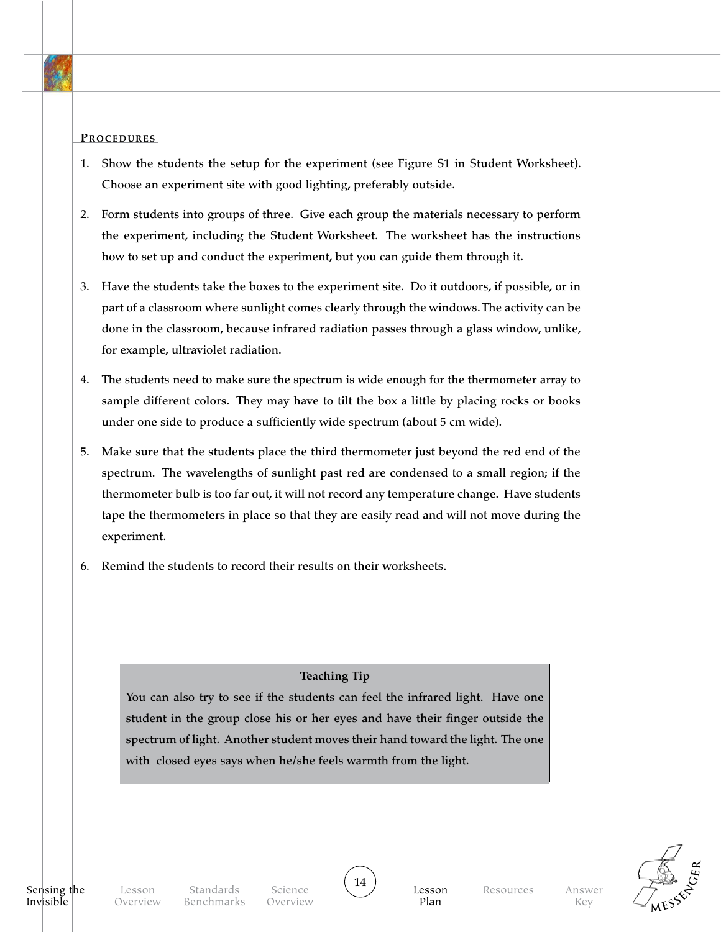#### PROCEDURES

- 1. Show the students the setup for the experiment (see Figure S1 in Student Worksheet). Choose an experiment site with good lighting, preferably outside.
- 2. Form students into groups of three. Give each group the materials necessary to perform the experiment, including the Student Worksheet. The worksheet has the instructions how to set up and conduct the experiment, but you can guide them through it.
- 3. Have the students take the boxes to the experiment site. Do it outdoors, if possible, or in part of a classroom where sunlight comes clearly through the windows. The activity can be done in the classroom, because infrared radiation passes through a glass window, unlike, for example, ultraviolet radiation.
- 4. The students need to make sure the spectrum is wide enough for the thermometer array to sample different colors. They may have to tilt the box a little by placing rocks or books under one side to produce a sufficiently wide spectrum (about 5 cm wide).
- 5. Make sure that the students place the third thermometer just beyond the red end of the spectrum. The wavelengths of sunlight past red are condensed to a small region; if the thermometer bulb is too far out, it will not record any temperature change. Have students tape the thermometers in place so that they are easily read and will not move during the experiment.
- 6. Remind the students to record their results on their worksheets.

#### **Teaching Tip**

You can also try to see if the students can feel the infrared light. Have one student in the group close his or her eyes and have their finger outside the spectrum of light. Another student moves their hand toward the light. The one with closed eyes says when he/she feels warmth from the light.

14



Resources Answer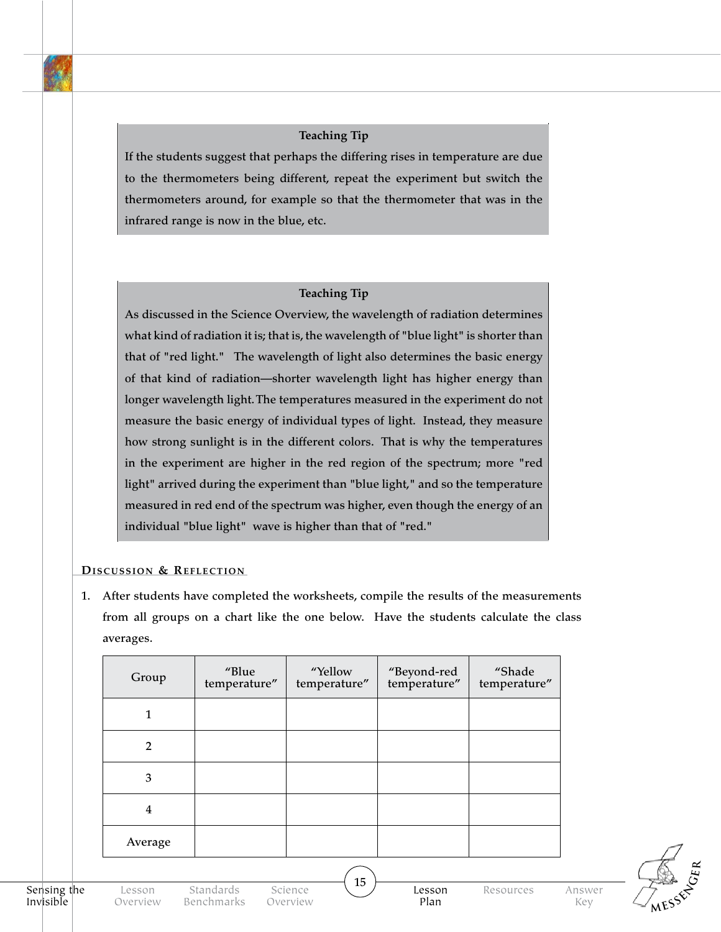#### **Teaching Tip**

If the students suggest that perhaps the differing rises in temperature are due to the thermometers being different, repeat the experiment but switch the thermometers around, for example so that the thermometer that was in the infrared range is now in the blue, etc.

#### **Teaching Tip**

As discussed in the Science Overview, the wavelength of radiation determines what kind of radiation it is; that is, the wavelength of "blue light" is shorter than that of "red light." The wavelength of light also determines the basic energy of that kind of radiation—shorter wavelength light has higher energy than longer wavelength light. The temperatures measured in the experiment do not measure the basic energy of individual types of light. Instead, they measure how strong sunlight is in the different colors. That is why the temperatures in the experiment are higher in the red region of the spectrum; more "red light" arrived during the experiment than "blue light," and so the temperature measured in red end of the spectrum was higher, even though the energy of an individual "blue light" wave is higher than that of "red."

#### **DISCUSSION & REFLECTION**

1. After students have completed the worksheets, compile the results of the measurements from all groups on a chart like the one below. Have the students calculate the class averages.

| Group          | "Blue<br>temperature" | "Yellow<br>temperature" | "Beyond-red<br>temperature" | "Shade<br>temperature" |  |  |
|----------------|-----------------------|-------------------------|-----------------------------|------------------------|--|--|
| 1              |                       |                         |                             |                        |  |  |
| $\overline{2}$ |                       |                         |                             |                        |  |  |
| 3              |                       |                         |                             |                        |  |  |
| $\overline{4}$ |                       |                         |                             |                        |  |  |
| Average        |                       |                         |                             |                        |  |  |
|                |                       |                         |                             |                        |  |  |



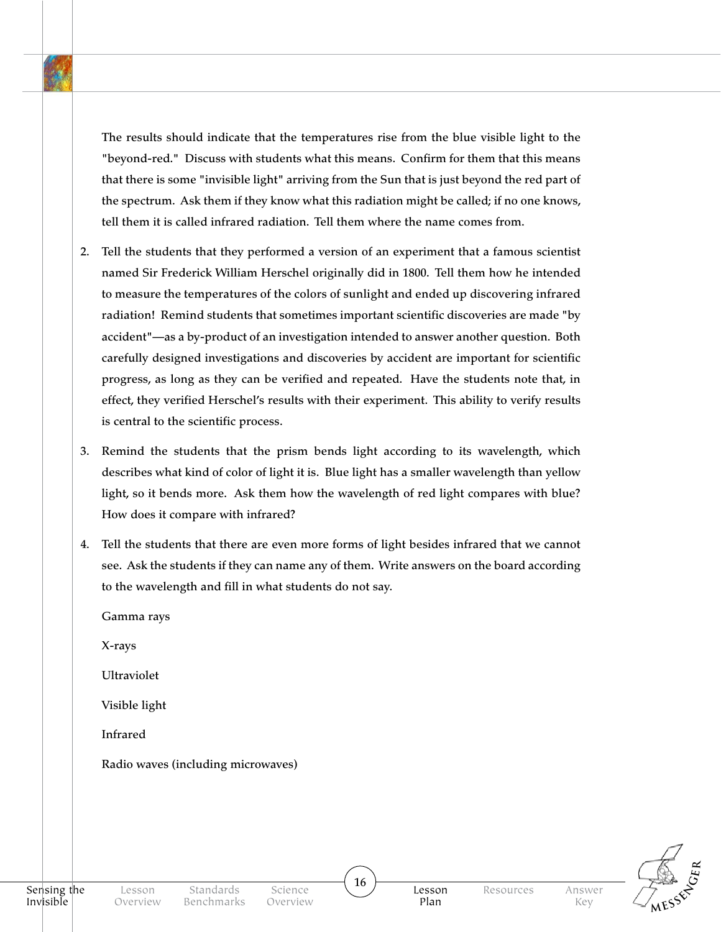The results should indicate that the temperatures rise from the blue visible light to the "beyond-red." Discuss with students what this means. Confirm for them that this means that there is some "invisible light" arriving from the Sun that is just beyond the red part of the spectrum. Ask them if they know what this radiation might be called; if no one knows, tell them it is called infrared radiation. Tell them where the name comes from.

- 2. Tell the students that they performed a version of an experiment that a famous scientist named Sir Frederick William Herschel originally did in 1800. Tell them how he intended to measure the temperatures of the colors of sunlight and ended up discovering infrared radiation! Remind students that sometimes important scientific discoveries are made "by accident"—as a by-product of an investigation intended to answer another question. Both carefully designed investigations and discoveries by accident are important for scientific progress, as long as they can be verified and repeated. Have the students note that, in effect, they verified Herschel's results with their experiment. This ability to verify results is central to the scientific process.
- 3. Remind the students that the prism bends light according to its wavelength, which describes what kind of color of light it is. Blue light has a smaller wavelength than yellow light, so it bends more. Ask them how the wavelength of red light compares with blue? How does it compare with infrared?
- 4. Tell the students that there are even more forms of light besides infrared that we cannot see. Ask the students if they can name any of them. Write answers on the board according to the wavelength and fill in what students do not say.
	- Gamma rays X-rays Ultraviolet Visible light Infrared Radio waves (including microwaves)

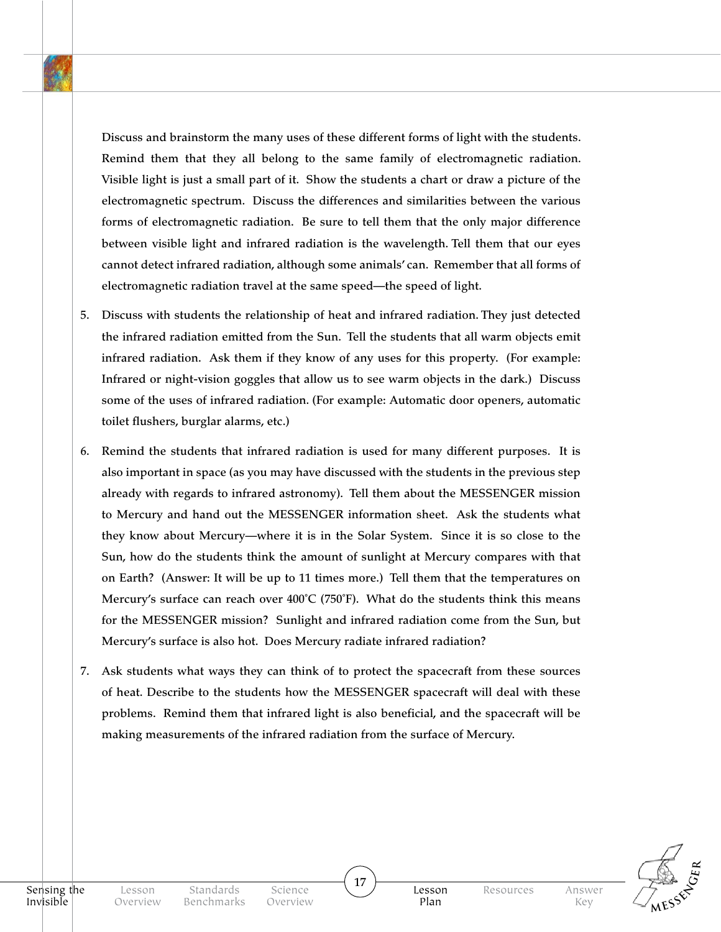Discuss and brainstorm the many uses of these different forms of light with the students. Remind them that they all belong to the same family of electromagnetic radiation. Visible light is just a small part of it. Show the students a chart or draw a picture of the electromagnetic spectrum. Discuss the differences and similarities between the various forms of electromagnetic radiation. Be sure to tell them that the only major difference between visible light and infrared radiation is the wavelength. Tell them that our eyes cannot detect infrared radiation, although some animals' can. Remember that all forms of electromagnetic radiation travel at the same speed—the speed of light.

- 5. Discuss with students the relationship of heat and infrared radiation. They just detected the infrared radiation emitted from the Sun. Tell the students that all warm objects emit infrared radiation. Ask them if they know of any uses for this property. (For example: Infrared or night-vision goggles that allow us to see warm objects in the dark.) Discuss some of the uses of infrared radiation. (For example: Automatic door openers, automatic toilet flushers, burglar alarms, etc.)
- 6. Remind the students that infrared radiation is used for many different purposes. It is also important in space (as you may have discussed with the students in the previous step already with regards to infrared astronomy). Tell them about the MESSENGER mission to Mercury and hand out the MESSENGER information sheet. Ask the students what they know about Mercury—where it is in the Solar System. Since it is so close to the Sun, how do the students think the amount of sunlight at Mercury compares with that on Earth? (Answer: It will be up to 11 times more.) Tell them that the temperatures on Mercury's surface can reach over  $400^{\circ}C$  (750°F). What do the students think this means for the MESSENGER mission? Sunlight and infrared radiation come from the Sun, but Mercury's surface is also hot. Does Mercury radiate infrared radiation?
- 7. Ask students what ways they can think of to protect the spacecraft from these sources of heat. Describe to the students how the MESSENGER spacecraft will deal with these problems. Remind them that infrared light is also beneficial, and the spacecraft will be making measurements of the infrared radiation from the surface of Mercury.

17



Science Overview Lesson Plan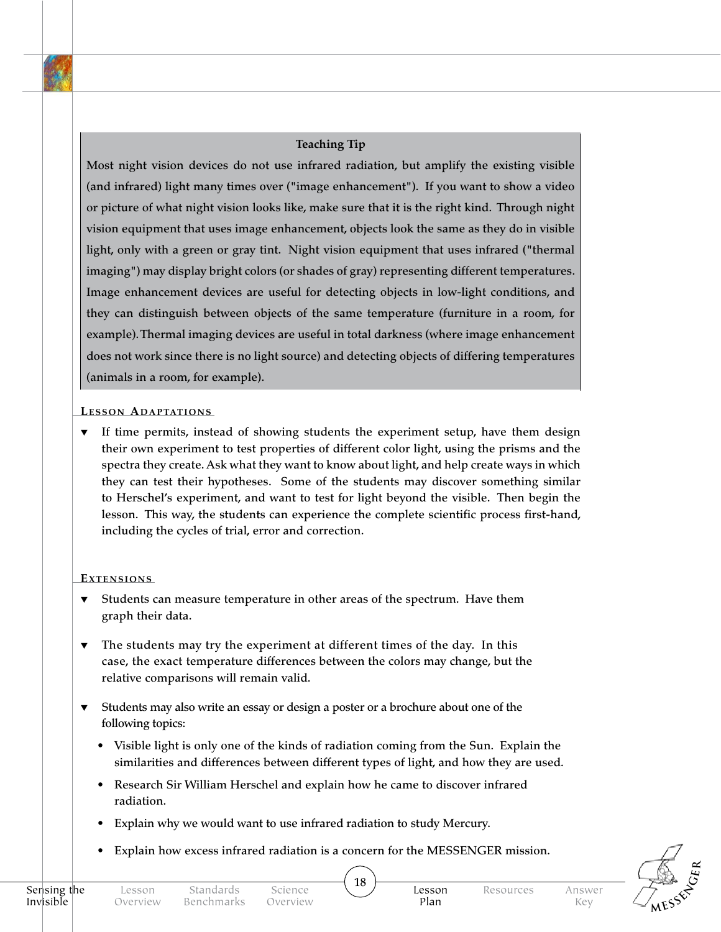#### **Teaching Tip**

Most night vision devices do not use infrared radiation, but amplify the existing visible (and infrared) light many times over ("image enhancement"). If you want to show a video or picture of what night vision looks like, make sure that it is the right kind. Through night vision equipment that uses image enhancement, objects look the same as they do in visible light, only with a green or gray tint. Night vision equipment that uses infrared ("thermal imaging") may display bright colors (or shades of gray) representing different temperatures. Image enhancement devices are useful for detecting objects in low-light conditions, and they can distinguish between objects of the same temperature (furniture in a room, for example). Thermal imaging devices are useful in total darkness (where image enhancement does not work since there is no light source) and detecting objects of differing temperatures (animals in a room, for example).

#### **LESSON ADAPTATIONS**

If time permits, instead of showing students the experiment setup, have them design their own experiment to test properties of different color light, using the prisms and the spectra they create. Ask what they want to know about light, and help create ways in which they can test their hypotheses. Some of the students may discover something similar to Herschel's experiment, and want to test for light beyond the visible. Then begin the lesson. This way, the students can experience the complete scientific process first-hand, including the cycles of trial, error and correction.

#### EXTENSIONS

- Students can measure temperature in other areas of the spectrum. Have them graph their data.
- ▼ The students may try the experiment at different times of the day. In this case, the exact temperature differences between the colors may change, but the relative comparisons will remain valid.
- Students may also write an essay or design a poster or a brochure about one of the following topics:
	- Visible light is only one of the kinds of radiation coming from the Sun. Explain the similarities and differences between different types of light, and how they are used.
	- Research Sir William Herschel and explain how he came to discover infrared radiation.
	- Explain why we would want to use infrared radiation to study Mercury.
	- Explain how excess infrared radiation is a concern for the MESSENGER mission.



Science Overview

Plan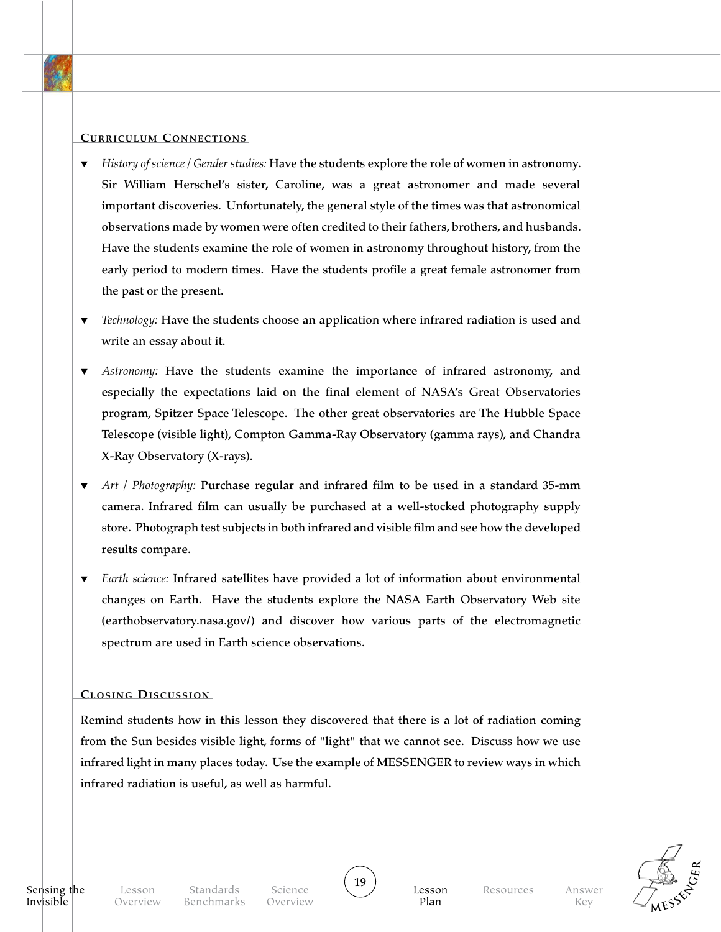#### **CURRICULUM CONNECTIONS**

- *History of science / Gender studies: Have the students explore the role of women in astronomy.* Sir William Herschel's sister, Caroline, was a great astronomer and made several important discoveries. Unfortunately, the general style of the times was that astronomical observations made by women were often credited to their fathers, brothers, and husbands. Have the students examine the role of women in astronomy throughout history, from the early period to modern times. Have the students profile a great female astronomer from the past or the present.
- ▼ *Technology:* Have the students choose an application where infrared radiation is used and write an essay about it.
- Astronomy: Have the students examine the importance of infrared astronomy, and especially the expectations laid on the final element of NASA's Great Observatories program, Spitzer Space Telescope. The other great observatories are The Hubble Space Telescope (visible light), Compton Gamma-Ray Observatory (gamma rays), and Chandra X-Ray Observatory (X-rays).
- Art / Photography: Purchase regular and infrared film to be used in a standard 35-mm camera. Infrared film can usually be purchased at a well-stocked photography supply store. Photograph test subjects in both infrared and visible film and see how the developed results compare.
- ▼ *Earth science:* Infrared satellites have provided a lot of information about environmental changes on Earth. Have the students explore the NASA Earth Observatory Web site (earthobservatory.nasa.gov/) and discover how various parts of the electromagnetic spectrum are used in Earth science observations.

#### **CLOSING DISCUSSION**

Remind students how in this lesson they discovered that there is a lot of radiation coming from the Sun besides visible light, forms of "light" that we cannot see. Discuss how we use infrared light in many places today. Use the example of MESSENGER to review ways in which infrared radiation is useful, as well as harmful.

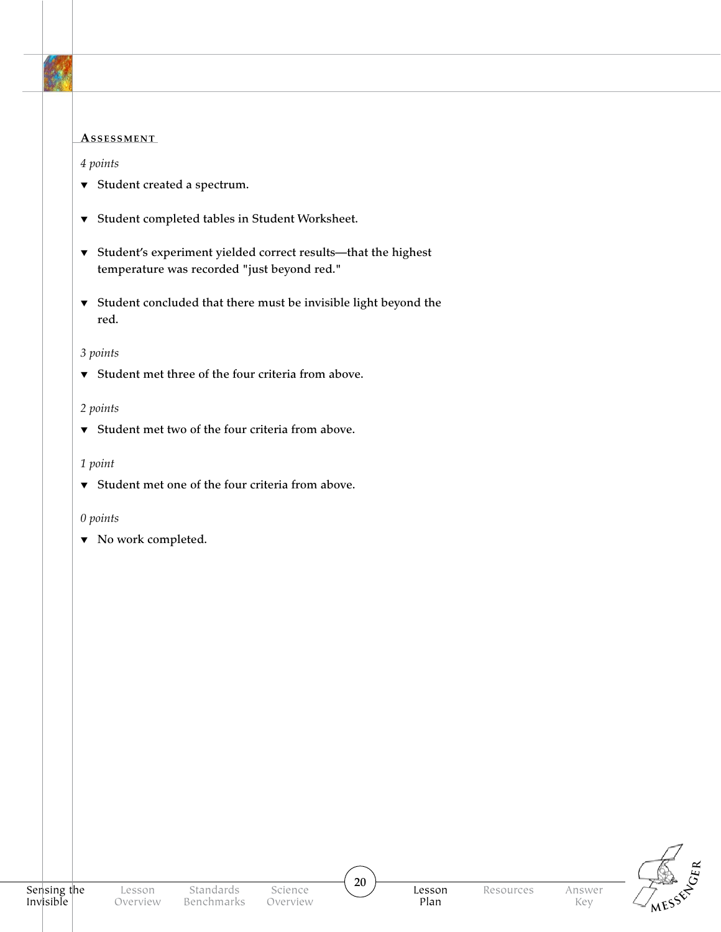

#### ASSESSMENT

#### *4 points*

- ▼ Student created a spectrum.
- ▼ Student completed tables in Student Worksheet.
- ▼ Student's experiment yielded correct results—that the highest temperature was recorded "just beyond red."
- ▼ Student concluded that there must be invisible light beyond the red.

#### *3 points*

▼ Student met three of the four criteria from above.

#### *2 points*

▼ Student met two of the four criteria from above.

#### *1 point*

▼ Student met one of the four criteria from above.

#### *0 points*

▼ No work completed.

Lesson Plan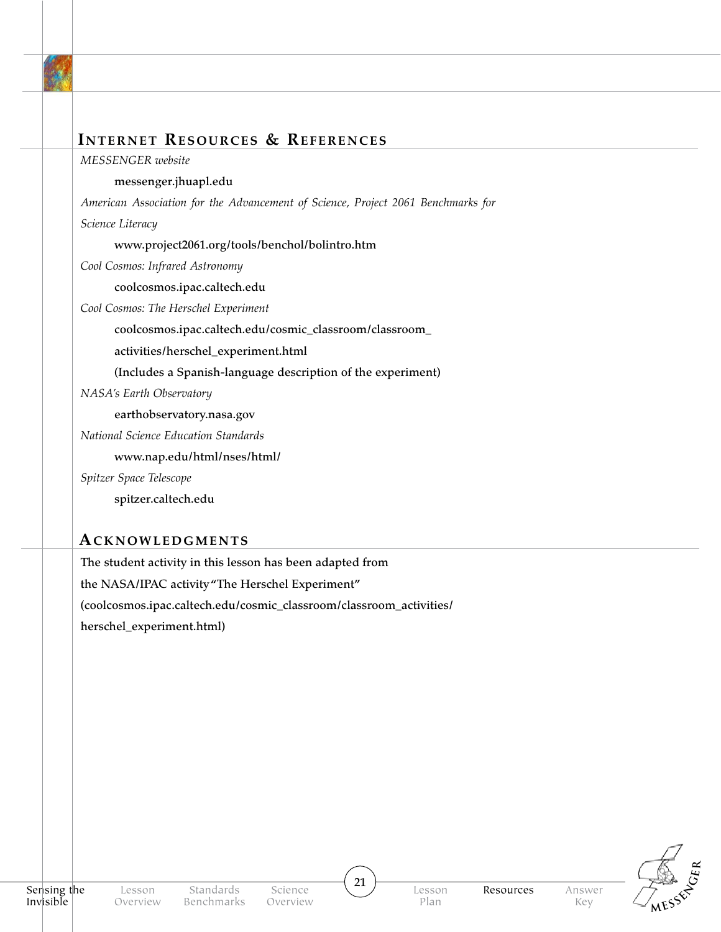

### **Internet Resources & References**

*MESSENGER website*

#### messenger.jhuapl.edu

*American Association for the Advancement of Science, Project 2061 Benchmarks for* 

*Science Literacy*

www.project2061.org/tools/benchol/bolintro.htm

*Cool Cosmos: Infrared Astronomy*

coolcosmos.ipac.caltech.edu

*Cool Cosmos: The Herschel Experiment*

coolcosmos.ipac.caltech.edu/cosmic\_classroom/classroom\_

activities/herschel\_experiment.html

(Includes a Spanish-language description of the experiment)

*NASA's Earth Observatory*

earthobservatory.nasa.gov

*National Science Education Standards* 

www.nap.edu/html/nses/html/

*Spitzer Space Telescope*

spitzer.caltech.edu

### **Acknowledgments**

The student activity in this lesson has been adapted from the NASA/IPAC activity "The Herschel Experiment" (coolcosmos.ipac.caltech.edu/cosmic\_classroom/classroom\_activities/ herschel\_experiment.html)



21

Answer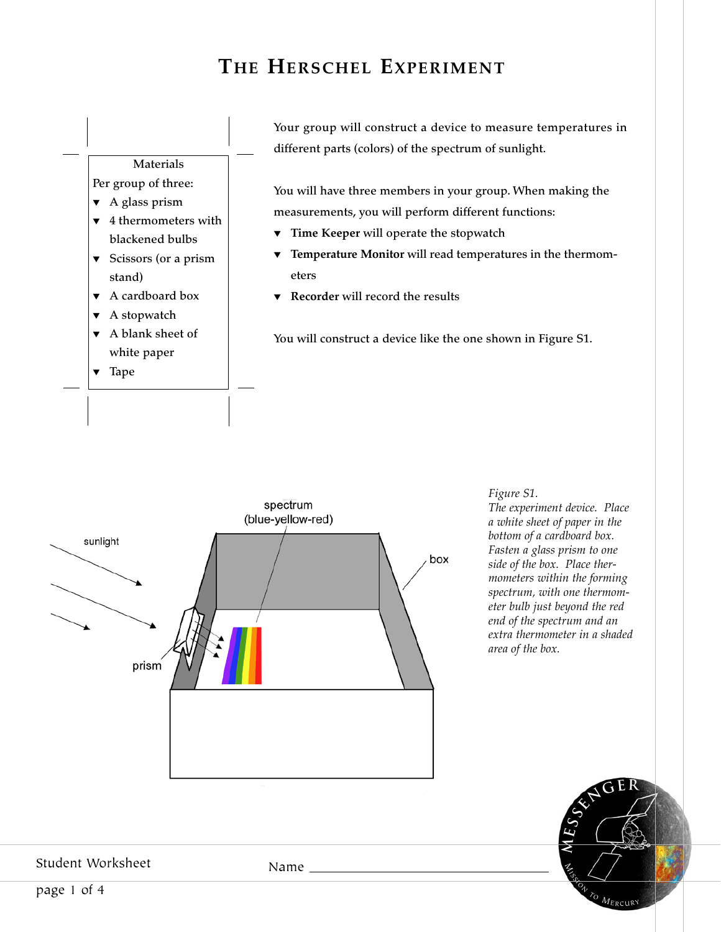## **The Herschel Experiment**





*Figure S1.* 

*The experiment device. Place a white sheet of paper in the bottom of a cardboard box. Fasten a glass prism to one side of the box. Place thermometers within the forming spectrum, with one thermometer bulb just beyond the red end of the spectrum and an extra thermometer in a shaded area of the box.*



Student Worksheet

Name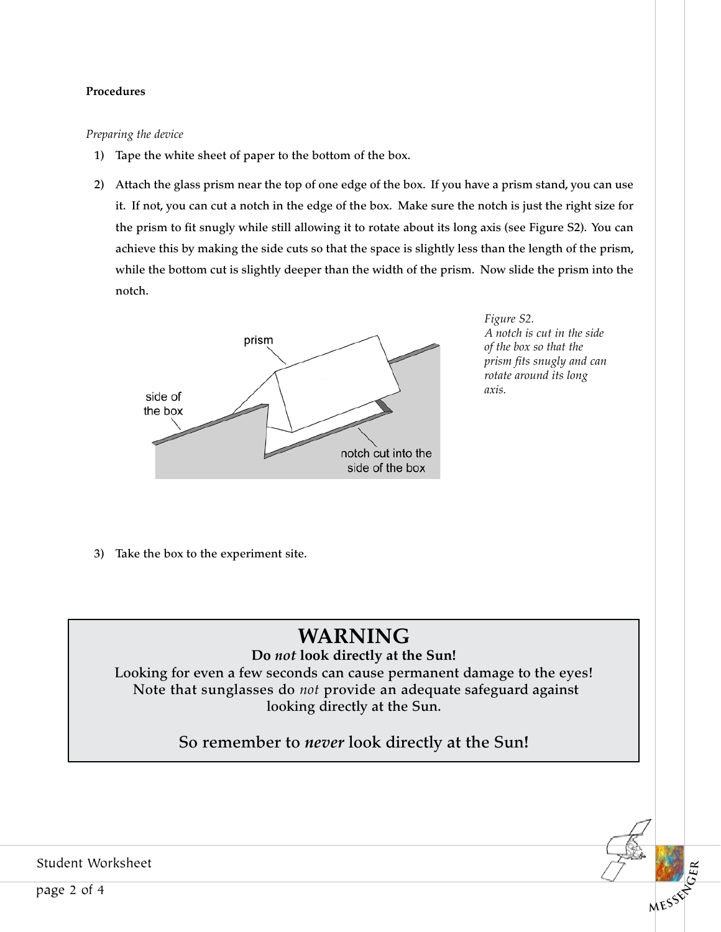#### Procedures

#### *Preparing the device*

- 1) Tape the white sheet of paper to the bottom of the box.
- 2) Attach the glass prism near the top of one edge of the box. If you have a prism stand, you can use it. If not, you can cut a notch in the edge of the box. Make sure the notch is just the right size for the prism to fit snugly while still allowing it to rotate about its long axis (see Figure S2). You can achieve this by making the side cuts so that the space is slightly less than the length of the prism, while the bottom cut is slightly deeper than the width of the prism. Now slide the prism into the notch.



*Figure S2. A notch is cut in the side of the box so that the prism fits snugly and can rotate around its long axis.*

 $MES<sup>6</sup>$ 

**R**

3) Take the box to the experiment site.

## **WARNING**

### **Do** *not* **look directly at the Sun!**

Looking for even a few seconds can cause permanent damage to the eyes! Note that sunglasses do *not* provide an adequate safeguard against looking directly at the Sun.

So remember to *never* look directly at the Sun**!**

Student Worksheet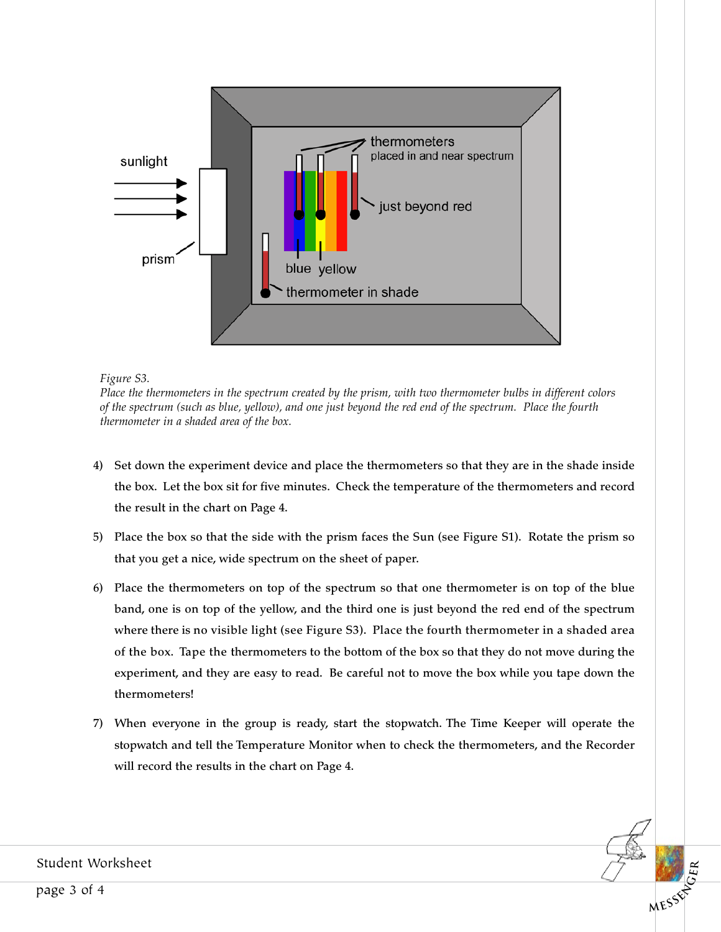

*Figure S3.* 

*Place the thermometers in the spectrum created by the prism, with two thermometer bulbs in different colors of the spectrum (such as blue, yellow), and one just beyond the red end of the spectrum. Place the fourth thermometer in a shaded area of the box.*

- 4) Set down the experiment device and place the thermometers so that they are in the shade inside the box. Let the box sit for five minutes. Check the temperature of the thermometers and record the result in the chart on Page 4.
- 5) Place the box so that the side with the prism faces the Sun (see Figure S1). Rotate the prism so that you get a nice, wide spectrum on the sheet of paper.
- 6) Place the thermometers on top of the spectrum so that one thermometer is on top of the blue band, one is on top of the yellow, and the third one is just beyond the red end of the spectrum where there is no visible light (see Figure S3). Place the fourth thermometer in a shaded area of the box. Tape the thermometers to the bottom of the box so that they do not move during the experiment, and they are easy to read. Be careful not to move the box while you tape down the thermometers!
- 7) When everyone in the group is ready, start the stopwatch. The Time Keeper will operate the stopwatch and tell the Temperature Monitor when to check the thermometers, and the Recorder will record the results in the chart on Page 4.

**MESSES** 

**R**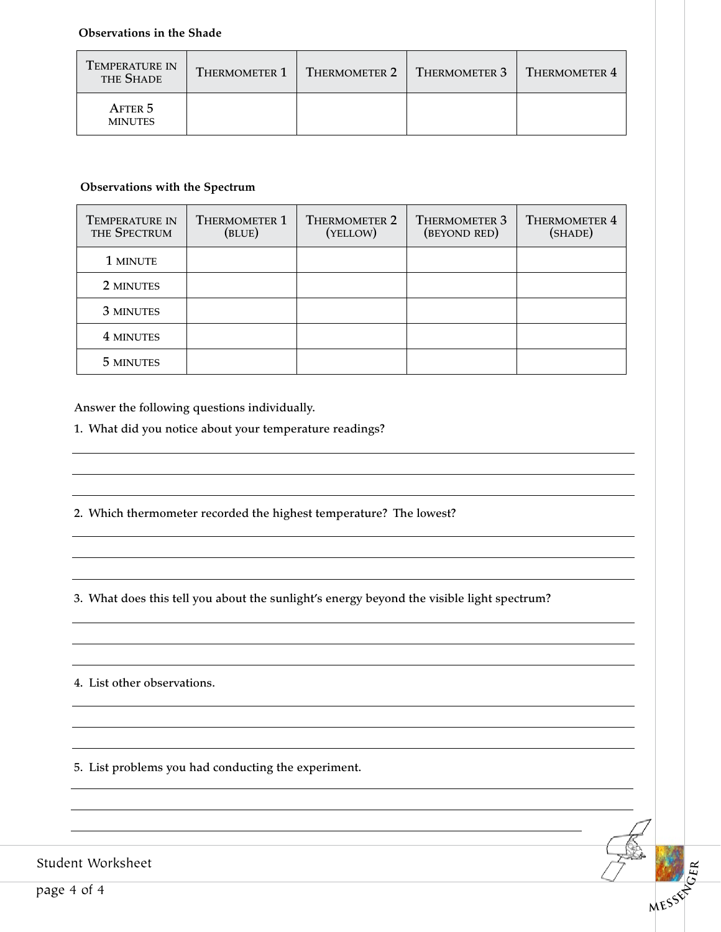#### **Observations in the Shade**

| <b>TEMPERATURE IN</b><br>THE SHADE | <b>THERMOMETER 1</b> | THERMOMETER 2 | $\blacksquare$ Thermometer 3 $\blacksquare$ | $T$ HERMOMETER 4 |
|------------------------------------|----------------------|---------------|---------------------------------------------|------------------|
| AFTER 5<br><b>MINUTES</b>          |                      |               |                                             |                  |

#### **Observations with the Spectrum**

| <b>TEMPERATURE IN</b><br>THE SPECTRUM | <b>THERMOMETER 1</b><br>(BLUE) | <b>THERMOMETER 2</b><br>(YELLOW) | <b>THERMOMETER 3</b><br>(BEYOND RED) | <b>THERMOMETER 4</b><br>(SHADE) |
|---------------------------------------|--------------------------------|----------------------------------|--------------------------------------|---------------------------------|
| 1 MINUTE                              |                                |                                  |                                      |                                 |
| 2 MINUTES                             |                                |                                  |                                      |                                 |
| 3 MINUTES                             |                                |                                  |                                      |                                 |
| 4 MINUTES                             |                                |                                  |                                      |                                 |
| 5 MINUTES                             |                                |                                  |                                      |                                 |

Answer the following questions individually.

1. What did you notice about your temperature readings?

2. Which thermometer recorded the highest temperature? The lowest?

3. What does this tell you about the sunlight's energy beyond the visible light spectrum?

**MESSENG<sup>E</sup>**

**R**

4. List other observations.

5. List problems you had conducting the experiment.

Student Worksheet

page 4 of 4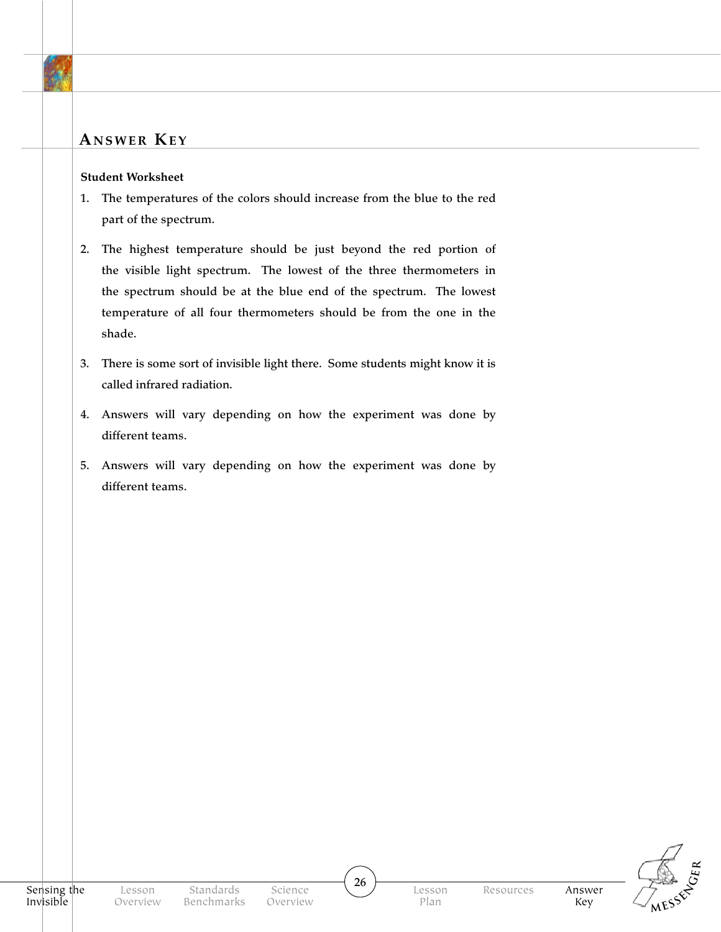## **Answer Key**

#### **Student Worksheet**

- 1. The temperatures of the colors should increase from the blue to the red part of the spectrum.
- 2. The highest temperature should be just beyond the red portion of the visible light spectrum. The lowest of the three thermometers in the spectrum should be at the blue end of the spectrum. The lowest temperature of all four thermometers should be from the one in the shade.
- 3. There is some sort of invisible light there. Some students might know it is called infrared radiation.
- 4. Answers will vary depending on how the experiment was done by different teams.
- 5. Answers will vary depending on how the experiment was done by different teams.



26

Answer Key